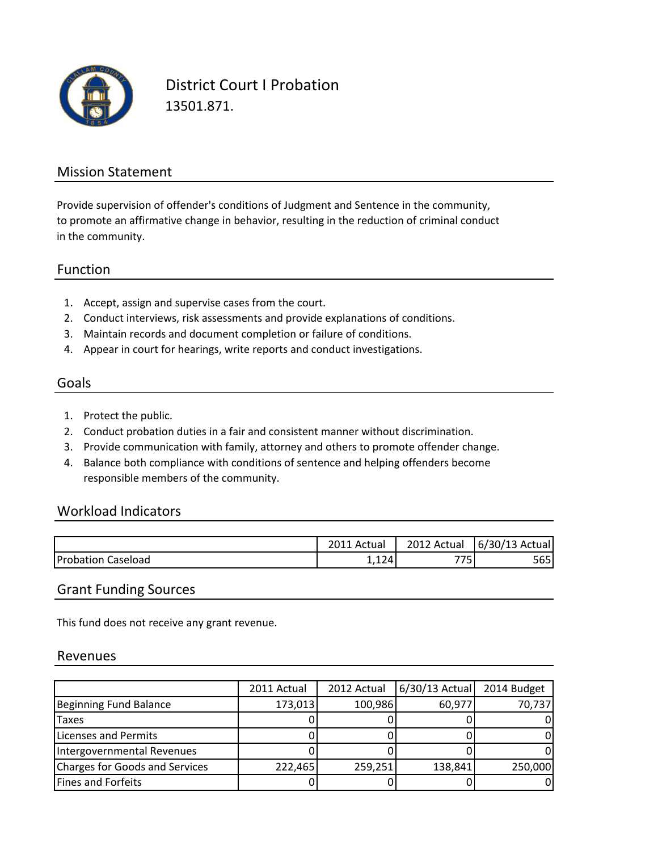

District Court I Probation 13501.871.

#### Mission Statement

to promote an affirmative change in behavior, resulting in the reduction of criminal conduct in the community. Provide supervision of offender's conditions of Judgment and Sentence in the community,

#### Function

- 1. Accept, assign and supervise cases from the court.
- 2. Conduct interviews, risk assessments and provide explanations of conditions.
- 3. Maintain records and document completion or failure of conditions.
- 4. Appear in court for hearings, write reports and conduct investigations.

### Goals

- 1. Protect the public.
- 2. Conduct probation duties in a fair and consistent manner without discrimination.
- 3. Provide communication with family, attorney and others to promote offender change.
- 4. Balance both compliance with conditions of sentence and helping offenders become responsible members of the community.

#### Workload Indicators

|                    | 2011 Actual     | 2012<br>Actual | 16/30/13<br>Actual |
|--------------------|-----------------|----------------|--------------------|
| <b>Probation C</b> | 12 <sub>4</sub> | – – r          | - c r              |
| Caseload           | ∸,⊥∠⊤           |                | לסל                |

#### Grant Funding Sources

This fund does not receive any grant revenue.

#### Revenues

|                                | 2011 Actual | 2012 Actual | 6/30/13 Actual | 2014 Budget |
|--------------------------------|-------------|-------------|----------------|-------------|
| <b>Beginning Fund Balance</b>  | 173,013     | 100,986     | 60,977         | 70,737      |
| <b>Taxes</b>                   |             |             |                |             |
| Licenses and Permits           |             |             |                |             |
| Intergovernmental Revenues     |             |             |                |             |
| Charges for Goods and Services | 222,465     | 259,251     | 138,841        | 250,000     |
| Fines and Forfeits             |             |             |                |             |